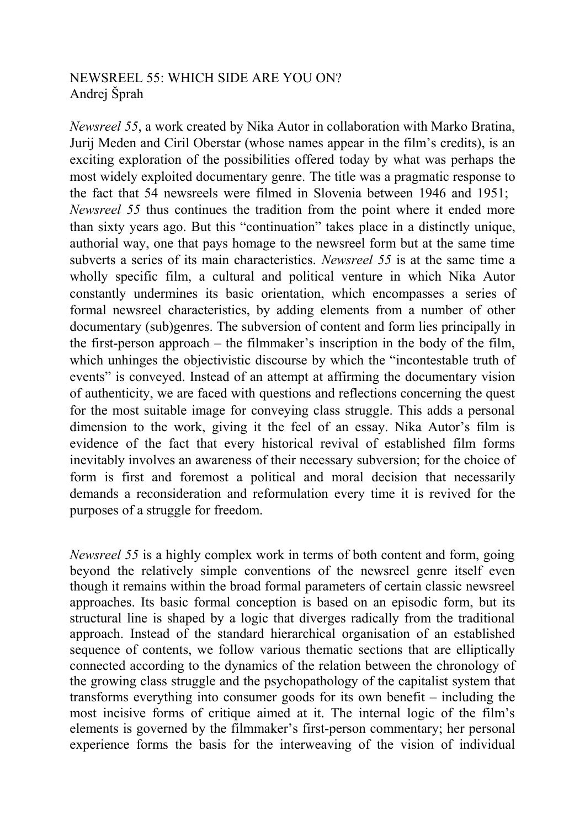## NEWSREEL 55: WHICH SIDE ARE YOU ON? Andrej Šprah

*Newsreel 55*, a work created by Nika Autor in collaboration with Marko Bratina, Jurij Meden and Ciril Oberstar (whose names appear in the film's credits), is an exciting exploration of the possibilities offered today by what was perhaps the most widely exploited documentary genre. The title was a pragmatic response to the fact that 54 newsreels were filmed in Slovenia between 1946 and 1951; *Newsreel 55* thus continues the tradition from the point where it ended more than sixty years ago. But this "continuation" takes place in a distinctly unique, authorial way, one that pays homage to the newsreel form but at the same time subverts a series of its main characteristics. *Newsreel 55* is at the same time a wholly specific film, a cultural and political venture in which Nika Autor constantly undermines its basic orientation, which encompasses a series of formal newsreel characteristics, by adding elements from a number of other documentary (sub)genres. The subversion of content and form lies principally in the first-person approach – the filmmaker's inscription in the body of the film, which unhinges the objectivistic discourse by which the "incontestable truth of events" is conveyed. Instead of an attempt at affirming the documentary vision of authenticity, we are faced with questions and reflections concerning the quest for the most suitable image for conveying class struggle. This adds a personal dimension to the work, giving it the feel of an essay. Nika Autor's film is evidence of the fact that every historical revival of established film forms inevitably involves an awareness of their necessary subversion; for the choice of form is first and foremost a political and moral decision that necessarily demands a reconsideration and reformulation every time it is revived for the purposes of a struggle for freedom.

*Newsreel 55* is a highly complex work in terms of both content and form, going beyond the relatively simple conventions of the newsreel genre itself even though it remains within the broad formal parameters of certain classic newsreel approaches. Its basic formal conception is based on an episodic form, but its structural line is shaped by a logic that diverges radically from the traditional approach. Instead of the standard hierarchical organisation of an established sequence of contents, we follow various thematic sections that are elliptically connected according to the dynamics of the relation between the chronology of the growing class struggle and the psychopathology of the capitalist system that transforms everything into consumer goods for its own benefit – including the most incisive forms of critique aimed at it. The internal logic of the film's elements is governed by the filmmaker's first-person commentary; her personal experience forms the basis for the interweaving of the vision of individual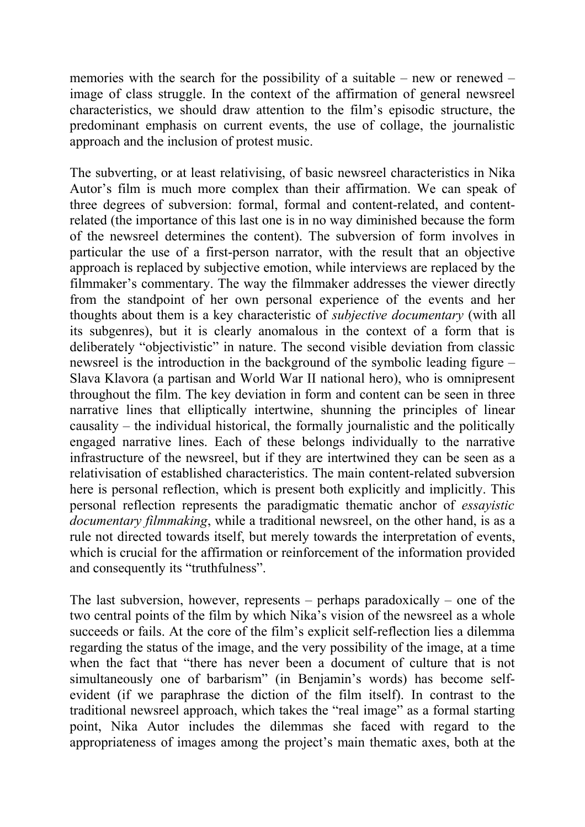memories with the search for the possibility of a suitable – new or renewed – image of class struggle. In the context of the affirmation of general newsreel characteristics, we should draw attention to the film's episodic structure, the predominant emphasis on current events, the use of collage, the journalistic approach and the inclusion of protest music.

The subverting, or at least relativising, of basic newsreel characteristics in Nika Autor's film is much more complex than their affirmation. We can speak of three degrees of subversion: formal, formal and content-related, and contentrelated (the importance of this last one is in no way diminished because the form of the newsreel determines the content). The subversion of form involves in particular the use of a first-person narrator, with the result that an objective approach is replaced by subjective emotion, while interviews are replaced by the filmmaker's commentary. The way the filmmaker addresses the viewer directly from the standpoint of her own personal experience of the events and her thoughts about them is a key characteristic of *subjective documentary* (with all its subgenres), but it is clearly anomalous in the context of a form that is deliberately "objectivistic" in nature. The second visible deviation from classic newsreel is the introduction in the background of the symbolic leading figure – Slava Klavora (a partisan and World War II national hero), who is omnipresent throughout the film. The key deviation in form and content can be seen in three narrative lines that elliptically intertwine, shunning the principles of linear causality – the individual historical, the formally journalistic and the politically engaged narrative lines. Each of these belongs individually to the narrative infrastructure of the newsreel, but if they are intertwined they can be seen as a relativisation of established characteristics. The main content-related subversion here is personal reflection, which is present both explicitly and implicitly. This personal reflection represents the paradigmatic thematic anchor of *essayistic documentary filmmaking*, while a traditional newsreel, on the other hand, is as a rule not directed towards itself, but merely towards the interpretation of events, which is crucial for the affirmation or reinforcement of the information provided and consequently its "truthfulness".

The last subversion, however, represents – perhaps paradoxically – one of the two central points of the film by which Nika's vision of the newsreel as a whole succeeds or fails. At the core of the film's explicit self-reflection lies a dilemma regarding the status of the image, and the very possibility of the image, at a time when the fact that "there has never been a document of culture that is not simultaneously one of barbarism" (in Benjamin's words) has become selfevident (if we paraphrase the diction of the film itself). In contrast to the traditional newsreel approach, which takes the "real image" as a formal starting point, Nika Autor includes the dilemmas she faced with regard to the appropriateness of images among the project's main thematic axes, both at the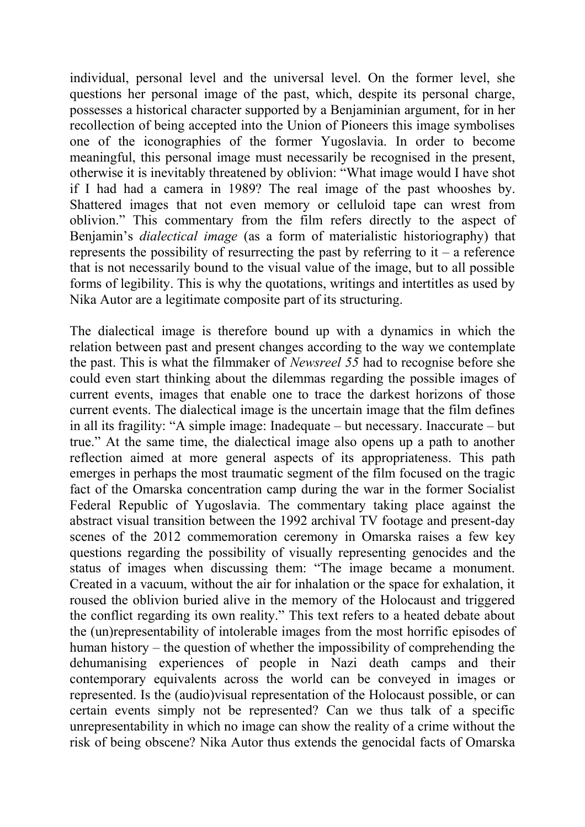individual, personal level and the universal level. On the former level, she questions her personal image of the past, which, despite its personal charge, possesses a historical character supported by a Benjaminian argument, for in her recollection of being accepted into the Union of Pioneers this image symbolises one of the iconographies of the former Yugoslavia. In order to become meaningful, this personal image must necessarily be recognised in the present, otherwise it is inevitably threatened by oblivion: "What image would I have shot if I had had a camera in 1989? The real image of the past whooshes by. Shattered images that not even memory or celluloid tape can wrest from oblivion." This commentary from the film refers directly to the aspect of Benjamin's *dialectical image* (as a form of materialistic historiography) that represents the possibility of resurrecting the past by referring to  $it - a$  reference that is not necessarily bound to the visual value of the image, but to all possible forms of legibility. This is why the quotations, writings and intertitles as used by Nika Autor are a legitimate composite part of its structuring.

The dialectical image is therefore bound up with a dynamics in which the relation between past and present changes according to the way we contemplate the past. This is what the filmmaker of *Newsreel 55* had to recognise before she could even start thinking about the dilemmas regarding the possible images of current events, images that enable one to trace the darkest horizons of those current events. The dialectical image is the uncertain image that the film defines in all its fragility: "A simple image: Inadequate – but necessary. Inaccurate – but true." At the same time, the dialectical image also opens up a path to another reflection aimed at more general aspects of its appropriateness. This path emerges in perhaps the most traumatic segment of the film focused on the tragic fact of the Omarska concentration camp during the war in the former Socialist Federal Republic of Yugoslavia. The commentary taking place against the abstract visual transition between the 1992 archival TV footage and present-day scenes of the 2012 commemoration ceremony in Omarska raises a few key questions regarding the possibility of visually representing genocides and the status of images when discussing them: "The image became a monument. Created in a vacuum, without the air for inhalation or the space for exhalation, it roused the oblivion buried alive in the memory of the Holocaust and triggered the conflict regarding its own reality." This text refers to a heated debate about the (un)representability of intolerable images from the most horrific episodes of human history – the question of whether the impossibility of comprehending the dehumanising experiences of people in Nazi death camps and their contemporary equivalents across the world can be conveyed in images or represented. Is the (audio)visual representation of the Holocaust possible, or can certain events simply not be represented? Can we thus talk of a specific unrepresentability in which no image can show the reality of a crime without the risk of being obscene? Nika Autor thus extends the genocidal facts of Omarska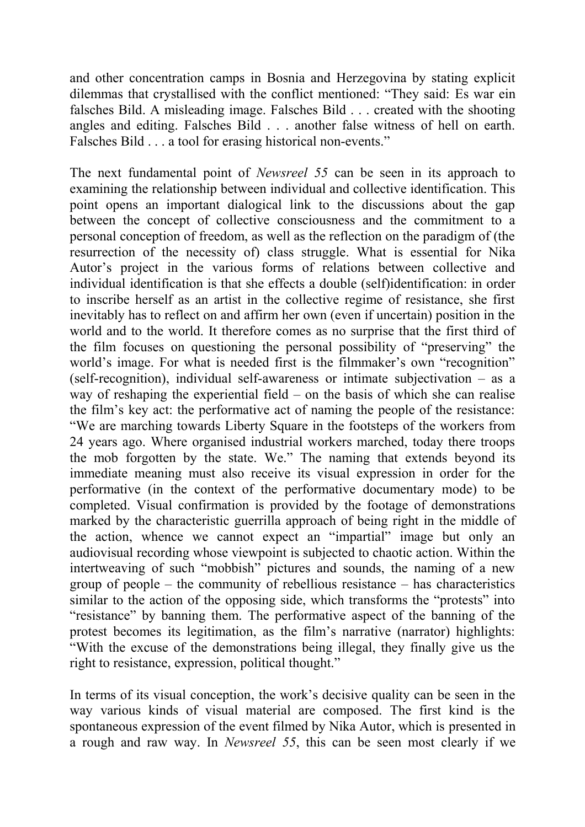and other concentration camps in Bosnia and Herzegovina by stating explicit dilemmas that crystallised with the conflict mentioned: "They said: Es war ein falsches Bild. A misleading image. Falsches Bild . . . created with the shooting angles and editing. Falsches Bild . . . another false witness of hell on earth. Falsches Bild . . . a tool for erasing historical non-events."

The next fundamental point of *Newsreel 55* can be seen in its approach to examining the relationship between individual and collective identification. This point opens an important dialogical link to the discussions about the gap between the concept of collective consciousness and the commitment to a personal conception of freedom, as well as the reflection on the paradigm of (the resurrection of the necessity of) class struggle. What is essential for Nika Autor's project in the various forms of relations between collective and individual identification is that she effects a double (self)identification: in order to inscribe herself as an artist in the collective regime of resistance, she first inevitably has to reflect on and affirm her own (even if uncertain) position in the world and to the world. It therefore comes as no surprise that the first third of the film focuses on questioning the personal possibility of "preserving" the world's image. For what is needed first is the filmmaker's own "recognition" (self-recognition), individual self-awareness or intimate subjectivation – as a way of reshaping the experiential field – on the basis of which she can realise the film's key act: the performative act of naming the people of the resistance: "We are marching towards Liberty Square in the footsteps of the workers from 24 years ago. Where organised industrial workers marched, today there troops the mob forgotten by the state. We." The naming that extends beyond its immediate meaning must also receive its visual expression in order for the performative (in the context of the performative documentary mode) to be completed. Visual confirmation is provided by the footage of demonstrations marked by the characteristic guerrilla approach of being right in the middle of the action, whence we cannot expect an "impartial" image but only an audiovisual recording whose viewpoint is subjected to chaotic action. Within the intertweaving of such "mobbish" pictures and sounds, the naming of a new group of people – the community of rebellious resistance – has characteristics similar to the action of the opposing side, which transforms the "protests" into "resistance" by banning them. The performative aspect of the banning of the protest becomes its legitimation, as the film's narrative (narrator) highlights: "With the excuse of the demonstrations being illegal, they finally give us the right to resistance, expression, political thought."

In terms of its visual conception, the work's decisive quality can be seen in the way various kinds of visual material are composed. The first kind is the spontaneous expression of the event filmed by Nika Autor, which is presented in a rough and raw way. In *Newsreel 55*, this can be seen most clearly if we